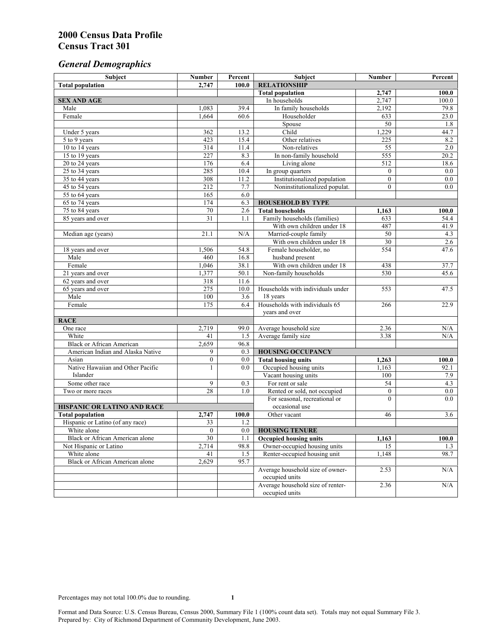# *General Demographics*

| Subject                                | <b>Number</b>    | Percent    | Subject                                             | Number           | Percent       |
|----------------------------------------|------------------|------------|-----------------------------------------------------|------------------|---------------|
| <b>Total population</b>                | 2,747            | 100.0      | <b>RELATIONSHIP</b>                                 |                  |               |
|                                        |                  |            | <b>Total population</b>                             | 2,747            | 100.0         |
| <b>SEX AND AGE</b>                     |                  |            | In households                                       | 2,747            | 100.0         |
| Male                                   | 1,083            | 39.4       | In family households                                | 2,192            | 79.8          |
| Female                                 | 1,664            | 60.6       | Householder                                         | 633              | 23.0          |
|                                        |                  |            | Spouse                                              | 50               | 1.8           |
| Under 5 years                          | 362              | 13.2       | Child                                               | 1,229            | 44.7          |
| 5 to 9 years                           | 423              | 15.4       | Other relatives                                     | 225              | 8.2           |
| 10 to 14 years                         | $\overline{314}$ | 11.4       | Non-relatives                                       | 55               | 2.0           |
| 15 to 19 years                         | 227              | 8.3        | In non-family household                             | 555              | 20.2          |
| 20 to 24 years                         | 176              | 6.4        | Living alone                                        | 512              | 18.6          |
| $25$ to $34$ years                     | 285              | 10.4       | In group quarters                                   | $\overline{0}$   | 0.0           |
| 35 to 44 years                         | 308              | 11.2       | Institutionalized population                        | $\overline{0}$   | 0.0           |
| 45 to 54 years                         | 212              | 7.7        | Noninstitutionalized populat.                       | $\overline{0}$   | 0.0           |
| 55 to 64 years                         | 165<br>174       | 6.0<br>6.3 |                                                     |                  |               |
| 65 to 74 years                         |                  | 2.6        | <b>HOUSEHOLD BY TYPE</b><br><b>Total households</b> |                  |               |
| 75 to 84 years                         | 70<br>31         | 1.1        | Family households (families)                        | 1,163<br>633     | 100.0<br>54.4 |
| 85 years and over                      |                  |            | With own children under 18                          | 487              | 41.9          |
| Median age (years)                     | 21.1             | N/A        | Married-couple family                               | 50               | 4.3           |
|                                        |                  |            | With own children under 18                          | $\overline{30}$  | 2.6           |
| 18 years and over                      | 1,506            | 54.8       | Female householder, no                              | 554              | 47.6          |
| Male                                   | 460              | 16.8       | husband present                                     |                  |               |
| Female                                 | 1,046            | 38.1       | With own children under 18                          | 438              | 37.7          |
| 21 years and over                      | 1,377            | 50.1       | Non-family households                               | 530              | 45.6          |
| 62 years and over                      | 318              | 11.6       |                                                     |                  |               |
| 65 years and over                      | 275              | 10.0       | Households with individuals under                   | 553              | 47.5          |
| Male                                   | 100              | 3.6        | 18 years                                            |                  |               |
| Female                                 | 175              | 6.4        | Households with individuals 65                      | 266              | 22.9          |
|                                        |                  |            | years and over                                      |                  |               |
| <b>RACE</b>                            |                  |            |                                                     |                  |               |
| One race                               | 2,719            | 99.0       | Average household size                              | 2.36             | N/A           |
| White                                  | 41               | 1.5        | Average family size                                 | 3.38             | N/A           |
| <b>Black or African American</b>       | 2,659            | 96.8       |                                                     |                  |               |
| American Indian and Alaska Native      | 9                | 0.3        | <b>HOUSING OCCUPANCY</b>                            |                  |               |
| Asian                                  | $\boldsymbol{0}$ | 0.0        | <b>Total housing units</b>                          | 1,263            | 100.0         |
| Native Hawaiian and Other Pacific      | 1                | 0.0        | Occupied housing units                              | 1,163            | 92.1          |
| Islander                               |                  |            | Vacant housing units                                | 100              | 7.9           |
| Some other race                        | 9                | 0.3        | For rent or sale                                    | 54               | 4.3           |
| Two or more races                      | 28               | 1.0        | Rented or sold, not occupied                        | $\boldsymbol{0}$ | 0.0           |
|                                        |                  |            | For seasonal, recreational or                       | $\theta$         | 0.0           |
| HISPANIC OR LATINO AND RACE            |                  |            | occasional use                                      |                  |               |
| <b>Total population</b>                | 2,747            | 100.0      | Other vacant                                        | 46               | 3.6           |
| Hispanic or Latino (of any race)       | 33               | 1.2        |                                                     |                  |               |
| White alone                            | $\overline{0}$   | 0.0        | <b>HOUSING TENURE</b>                               |                  |               |
| Black or African American alone        | 30               | 1.1        | <b>Occupied housing units</b>                       | 1,163            | 100.0         |
| Not Hispanic or Latino                 | 2,714            | 98.8       | Owner-occupied housing units                        | 15               | 1.3           |
| White alone                            | 41               | 1.5        | Renter-occupied housing unit                        | 1,148            | 98.7          |
| <b>Black or African American alone</b> | 2,629            | 95.7       |                                                     |                  |               |
|                                        |                  |            | Average household size of owner-                    | 2.53             | N/A           |
|                                        |                  |            | occupied units                                      |                  |               |
|                                        |                  |            | Average household size of renter-                   | 2.36             | N/A           |
|                                        |                  |            | occupied units                                      |                  |               |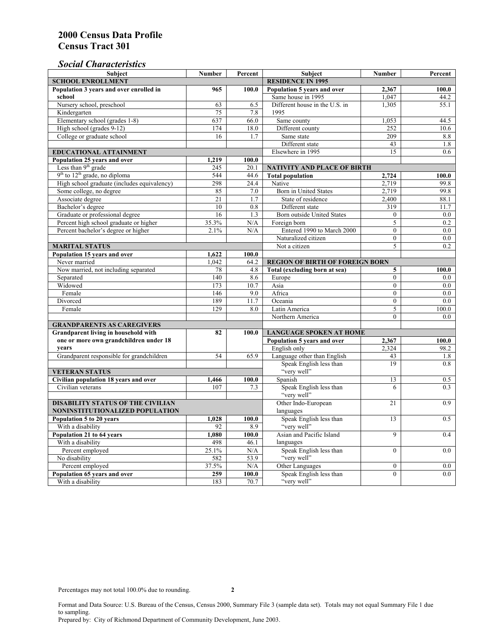## *Social Characteristics*

| <b>Subject</b>                                             | <b>Number</b>            | Percent      | Subject                                                       | <b>Number</b>  | Percent    |
|------------------------------------------------------------|--------------------------|--------------|---------------------------------------------------------------|----------------|------------|
| <b>SCHOOL ENROLLMENT</b>                                   | <b>RESIDENCE IN 1995</b> |              |                                                               |                |            |
| Population 3 years and over enrolled in                    | 965                      | 100.0        | Population 5 years and over                                   | 2,367          | 100.0      |
| school                                                     |                          |              | Same house in 1995                                            | 1,047          | 44.2       |
| Nursery school, preschool                                  | 63                       | 6.5          | Different house in the U.S. in                                | 1,305          | 55.1       |
| Kindergarten                                               | $\overline{75}$          | 7.8          | 1995                                                          |                |            |
| Elementary school (grades 1-8)                             | 637                      | 66.0         | Same county                                                   | 1,053          | 44.5       |
| High school (grades 9-12)                                  | 174                      | 18.0         | Different county                                              | 252            | 10.6       |
| College or graduate school                                 | 16                       | 1.7          | Same state                                                    | 209            | 8.8        |
|                                                            |                          |              | Different state                                               | 43             | 1.8        |
| <b>EDUCATIONAL ATTAINMENT</b>                              |                          |              | Elsewhere in 1995                                             | 15             | 0.6        |
| Population 25 years and over                               | 1,219                    | 100.0        |                                                               |                |            |
| Less than 9 <sup>th</sup> grade                            | 245                      | 20.1         | <b>NATIVITY AND PLACE OF BIRTH</b>                            |                |            |
| $9th$ to $12th$ grade, no diploma                          | 544                      | 44.6         | <b>Total population</b>                                       | 2,724          | 100.0      |
| High school graduate (includes equivalency)                | 298                      | 24.4         | Native                                                        | 2.719          | 99.8       |
| Some college, no degree                                    | 85                       | 7.0          | Born in United States                                         | 2,719          | 99.8       |
| Associate degree                                           | $\overline{21}$          | 1.7          | State of residence                                            | 2,400          | 88.1       |
| Bachelor's degree                                          | 10                       | 0.8          | Different state                                               | 319            | 11.7       |
| Graduate or professional degree                            | 16                       | 1.3          | Born outside United States                                    | $\Omega$       | $0.0\,$    |
| Percent high school graduate or higher                     | 35.3%                    | N/A          | Foreign born                                                  | 5              | 0.2        |
| Percent bachelor's degree or higher                        | 2.1%                     | N/A          | Entered 1990 to March 2000                                    | $\mathbf{0}$   | $0.0\,$    |
|                                                            |                          |              | Naturalized citizen                                           | $\Omega$       | 0.0        |
| <b>MARITAL STATUS</b>                                      |                          |              | Not a citizen                                                 | 5              | 0.2        |
| Population 15 years and over                               | 1,622                    | 100.0        |                                                               |                |            |
| Never married                                              | 1.042                    | 64.2         | <b>REGION OF BIRTH OF FOREIGN BORN</b>                        |                |            |
| Now married, not including separated                       | 78                       | 4.8          | Total (excluding born at sea)                                 | 5              | 100.0      |
| Separated                                                  | $\overline{140}$         | 8.6          | Europe                                                        | $\overline{0}$ | $0.0\,$    |
| Widowed                                                    | 173                      | 10.7         | Asia                                                          | $\theta$       | $0.0\,$    |
| Female                                                     | 146                      | 9.0          | Africa                                                        | $\Omega$       | $0.0\,$    |
| Divorced                                                   | 189                      | 11.7         | Oceania                                                       | $\mathbf{0}$   | 0.0        |
| Female                                                     | 129                      | 8.0          | Latin America                                                 | 5              | 100.0      |
|                                                            |                          |              | Northern America                                              | $\theta$       | 0.0        |
| <b>GRANDPARENTS AS CAREGIVERS</b>                          |                          |              |                                                               |                |            |
| <b>Grandparent living in household with</b><br>82          |                          | 100.0        | <b>LANGUAGE SPOKEN AT HOME</b><br>Population 5 years and over |                |            |
| one or more own grandchildren under 18<br>years            |                          |              |                                                               | 2,367          | 100.0      |
|                                                            | 54                       | 65.9         | English only<br>Language other than English                   | 2,324<br>43    | 98.2       |
| Grandparent responsible for grandchildren                  |                          |              | Speak English less than                                       | 19             | 1.8<br>0.8 |
| <b>VETERAN STATUS</b>                                      |                          |              | "very well"                                                   |                |            |
|                                                            |                          |              | Spanish                                                       | 13             | 0.5        |
| Civilian population 18 years and over<br>Civilian veterans | 1,466<br>107             | 100.0<br>7.3 | Speak English less than                                       | 6              | 0.3        |
|                                                            |                          |              | "very well"                                                   |                |            |
| <b>DISABILITY STATUS OF THE CIVILIAN</b>                   | Other Indo-European      | 21           | 0.9                                                           |                |            |
| NONINSTITUTIONALIZED POPULATION                            | languages                |              |                                                               |                |            |
| Population 5 to 20 years                                   | Speak English less than  | 13           | 0.5                                                           |                |            |
| With a disability                                          | 1,028<br>92              | 100.0<br>8.9 | "very well"                                                   |                |            |
| Population 21 to 64 years                                  | 1.080                    | 100.0        | Asian and Pacific Island                                      | 9              | 0.4        |
| With a disability                                          | 498                      | 46.1         | languages                                                     |                |            |
| Percent employed                                           | 25.1%                    | N/A          | Speak English less than                                       | $\overline{0}$ | 0.0        |
| No disability                                              | 582                      | 53.9         | "very well"                                                   |                |            |
| Percent employed                                           | 37.5%                    | N/A          | Other Languages                                               | $\mathbf{0}$   | $0.0\,$    |
| Population 65 years and over                               | 259                      | 100.0        | Speak English less than                                       | $\overline{0}$ | 0.0        |
| With a disability                                          | 183                      | 70.7         | "very well"                                                   |                |            |

Format and Data Source: U.S. Bureau of the Census, Census 2000, Summary File 3 (sample data set). Totals may not equal Summary File 1 due to sampling.

Prepared by: City of Richmond Department of Community Development, June 2003.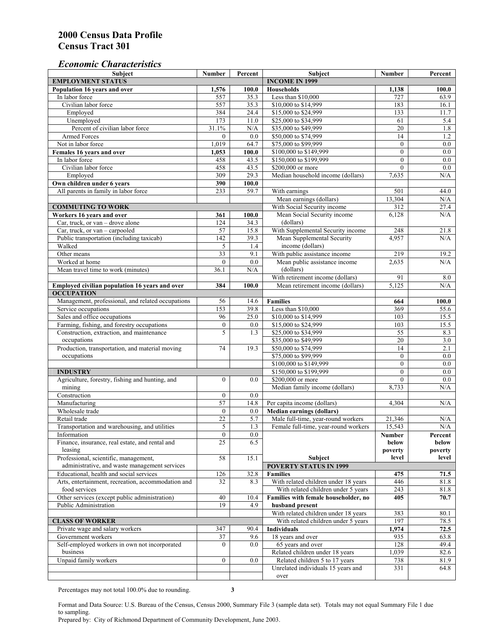#### *Economic Characteristics*

| <b>Subject</b>                                                 | Number                 | Percent    | Subject                                                                | Number             | Percent          |
|----------------------------------------------------------------|------------------------|------------|------------------------------------------------------------------------|--------------------|------------------|
| <b>EMPLOYMENT STATUS</b>                                       |                        |            | <b>INCOME IN 1999</b>                                                  |                    |                  |
| Population 16 years and over                                   | 1,576                  | 100.0      | Households                                                             | 1,138              | 100.0            |
| In labor force                                                 | 557                    | 35.3       | Less than \$10,000                                                     | 727                | 63.9             |
| Civilian labor force                                           | 557                    | 35.3       | \$10,000 to \$14,999                                                   | 183                | 16.1             |
| Employed                                                       | 384                    | 24.4       | \$15,000 to \$24,999                                                   | 133                | 11.7             |
| Unemployed                                                     | 173                    | 11.0       | \$25,000 to \$34,999                                                   | 61                 | 5.4              |
| Percent of civilian labor force                                | 31.1%                  | N/A        | \$35,000 to \$49,999                                                   | 20                 | 1.8              |
| Armed Forces                                                   | $\mathbf{0}$           | 0.0        | \$50,000 to \$74,999                                                   | 14                 | 1.2              |
| Not in labor force                                             | 1,019                  | 64.7       | \$75,000 to \$99,999                                                   | $\mathbf{0}$       | 0.0              |
| Females 16 years and over                                      | 1,053                  | 100.0      | \$100,000 to \$149,999                                                 | $\boldsymbol{0}$   | $0.0\,$          |
| In labor force                                                 | 458                    | 43.5       | \$150,000 to \$199,999                                                 | $\mathbf{0}$       | $\overline{0.0}$ |
| Civilian labor force                                           | 458                    | 43.5       | \$200,000 or more                                                      | $\mathbf{0}$       | 0.0              |
| Employed                                                       | 309                    | 29.3       | Median household income (dollars)                                      | 7,635              | N/A              |
| Own children under 6 years                                     | 390                    | 100.0      |                                                                        |                    |                  |
| All parents in family in labor force                           | 233                    | 59.7       | With earnings                                                          | 501                | 44.0             |
|                                                                |                        |            | Mean earnings (dollars)                                                | 13,304             | N/A              |
| <b>COMMUTING TO WORK</b>                                       |                        |            | With Social Security income                                            | 312                | 27.4             |
| Workers 16 years and over                                      | 361                    | 100.0      | Mean Social Security income                                            | 6,128              | N/A              |
| Car, truck, or van – drove alone                               | 124                    | 34.3       | (dollars)                                                              |                    |                  |
| Car, truck, or van - carpooled                                 | 57                     | 15.8       | With Supplemental Security income                                      | 248                | 21.8             |
| Public transportation (including taxicab)                      | 142                    | 39.3       | Mean Supplemental Security                                             | 4,957              | N/A              |
| Walked                                                         | 5                      | 1.4        | income (dollars)                                                       |                    |                  |
| Other means                                                    | $\overline{33}$        | 9.1        | With public assistance income                                          | 219                | 19.2             |
| Worked at home                                                 | $\mathbf{0}$           | 0.0        | Mean public assistance income                                          | 2,635              | N/A              |
| Mean travel time to work (minutes)                             | 36.1                   | N/A        | (dollars)                                                              |                    |                  |
|                                                                |                        |            | With retirement income (dollars)                                       | 91                 | 8.0              |
| Employed civilian population 16 years and over                 | 384                    | 100.0      | Mean retirement income (dollars)                                       | $\overline{5.125}$ | N/A              |
| <b>OCCUPATION</b>                                              |                        |            |                                                                        |                    |                  |
| Management, professional, and related occupations              | 56                     | 14.6       | <b>Families</b>                                                        | 664                | 100.0            |
| Service occupations                                            | 153                    | 39.8       | Less than \$10,000                                                     | 369                | 55.6             |
| Sales and office occupations                                   | 96                     | 25.0       | \$10,000 to \$14,999                                                   | 103                | 15.5             |
| Farming, fishing, and forestry occupations                     | $\boldsymbol{0}$       | 0.0        | \$15,000 to \$24,999                                                   | 103                | 15.5             |
| Construction, extraction, and maintenance                      | 5                      | 1.3        | \$25,000 to \$34,999                                                   | 55                 | 8.3              |
| occupations                                                    |                        |            | \$35,000 to \$49,999                                                   | $\overline{20}$    | 3.0              |
| Production, transportation, and material moving                | 74                     | 19.3       | \$50,000 to \$74,999                                                   | 14                 | 2.1              |
| occupations                                                    |                        |            | \$75,000 to \$99,999                                                   | $\boldsymbol{0}$   | $0.0\,$          |
|                                                                |                        |            | \$100,000 to \$149,999                                                 | $\mathbf{0}$       | 0.0              |
| <b>INDUSTRY</b>                                                |                        |            | \$150,000 to \$199,999                                                 | $\mathbf{0}$       | 0.0              |
| Agriculture, forestry, fishing and hunting, and                | $\boldsymbol{0}$       | 0.0        | \$200,000 or more                                                      | $\theta$           | 0.0              |
| mining                                                         |                        |            | Median family income (dollars)                                         | 8,733              | N/A              |
| Construction                                                   | $\mathbf{0}$           | 0.0        |                                                                        |                    |                  |
| Manufacturing                                                  | $\overline{57}$        | 14.8       | Per capita income (dollars)                                            | 4,304              | N/A              |
| Wholesale trade                                                | $\mathbf{0}$           |            |                                                                        |                    |                  |
|                                                                | 22                     | 0.0        | <b>Median earnings (dollars)</b><br>Male full-time, year-round workers |                    |                  |
| Retail trade<br>Transportation and warehousing, and utilities  | 5                      | 5.7<br>1.3 | Female full-time, year-round workers                                   | 21,346<br>15,543   | N/A<br>N/A       |
|                                                                |                        |            |                                                                        |                    |                  |
| Information<br>Finance, insurance, real estate, and rental and | $\boldsymbol{0}$<br>25 | 0.0<br>6.5 |                                                                        | Number             | Percent          |
| leasing                                                        |                        |            |                                                                        | below<br>poverty   | below<br>poverty |
|                                                                | 58                     | 15.1       |                                                                        | level              | level            |
| Professional, scientific, management,                          |                        |            | Subject<br><b>POVERTY STATUS IN 1999</b>                               |                    |                  |
| administrative, and waste management services                  |                        |            |                                                                        |                    |                  |
| Educational, health and social services                        | 126                    | 32.8       | <b>Families</b>                                                        | 475                | 71.5             |
| Arts, entertainment, recreation, accommodation and             | 32                     | 8.3        | With related children under 18 years                                   | 446                | 81.8             |
| food services                                                  |                        |            | With related children under 5 years                                    | 243                | 81.8             |
| Other services (except public administration)                  | 40                     | 10.4       | Families with female householder, no                                   | 405                | 70.7             |
| Public Administration                                          | 19                     | 4.9        | husband present                                                        |                    |                  |
|                                                                |                        |            | With related children under 18 years                                   | 383                | 80.1             |
| <b>CLASS OF WORKER</b>                                         |                        |            | With related children under 5 years                                    | 197                | 78.5             |
| Private wage and salary workers                                | 347                    | 90.4       | Individuals                                                            | 1,974              | 72.5             |
| Government workers                                             | 37                     | 9.6        | 18 years and over                                                      | 935                | 63.8             |
| Self-employed workers in own not incorporated                  | $\Omega$               | 0.0        | 65 years and over                                                      | 128                | 49.4             |
| business                                                       |                        |            | Related children under 18 years                                        | 1,039              | 82.6             |
| Unpaid family workers                                          | $\boldsymbol{0}$       | 0.0        | Related children 5 to 17 years                                         | 738                | 81.9             |
|                                                                |                        |            | Unrelated individuals 15 years and                                     | 331                | 64.8             |
|                                                                |                        |            | over                                                                   |                    |                  |

Percentages may not total 100.0% due to rounding. **3** 

Format and Data Source: U.S. Bureau of the Census, Census 2000, Summary File 3 (sample data set). Totals may not equal Summary File 1 due to sampling.

Prepared by: City of Richmond Department of Community Development, June 2003.